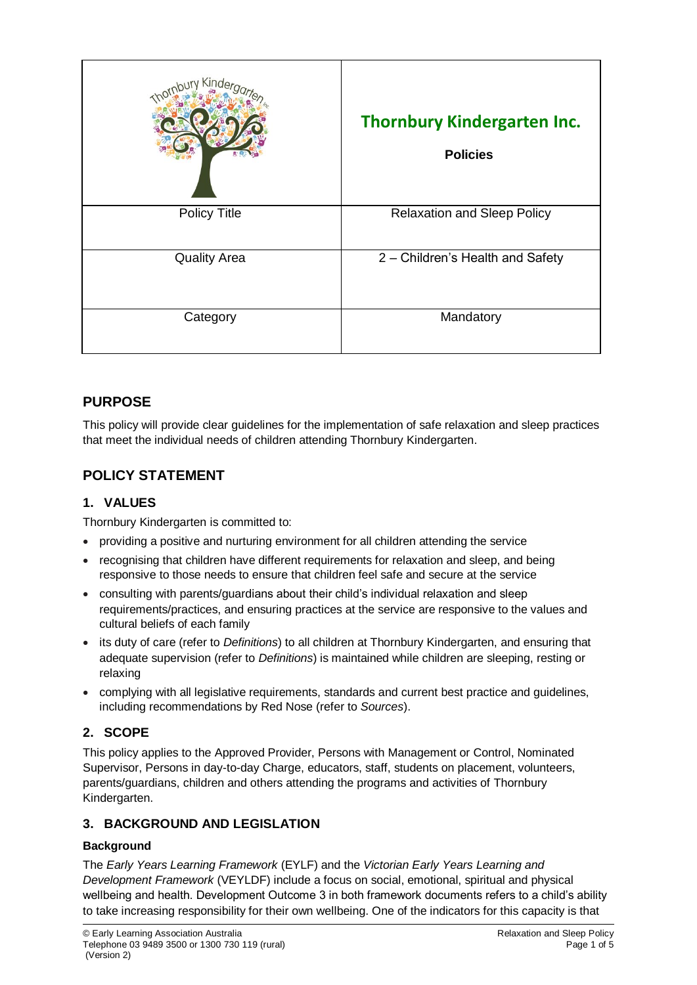| Kinde               | <b>Thornbury Kindergarten Inc.</b><br><b>Policies</b> |
|---------------------|-------------------------------------------------------|
| <b>Policy Title</b> | <b>Relaxation and Sleep Policy</b>                    |
| <b>Quality Area</b> | 2 - Children's Health and Safety                      |
| Category            | Mandatory                                             |

# **PURPOSE**

This policy will provide clear guidelines for the implementation of safe relaxation and sleep practices that meet the individual needs of children attending Thornbury Kindergarten.

# **POLICY STATEMENT**

## **1. VALUES**

Thornbury Kindergarten is committed to:

- providing a positive and nurturing environment for all children attending the service
- recognising that children have different requirements for relaxation and sleep, and being responsive to those needs to ensure that children feel safe and secure at the service
- consulting with parents/guardians about their child's individual relaxation and sleep requirements/practices, and ensuring practices at the service are responsive to the values and cultural beliefs of each family
- its duty of care (refer to *Definitions*) to all children at Thornbury Kindergarten, and ensuring that adequate supervision (refer to *Definitions*) is maintained while children are sleeping, resting or relaxing
- complying with all legislative requirements, standards and current best practice and guidelines, including recommendations by Red Nose (refer to *Sources*).

## **2. SCOPE**

This policy applies to the Approved Provider, Persons with Management or Control, Nominated Supervisor, Persons in day-to-day Charge, educators, staff, students on placement, volunteers, parents/guardians, children and others attending the programs and activities of Thornbury Kindergarten.

## **3. BACKGROUND AND LEGISLATION**

### **Background**

The *Early Years Learning Framework* (EYLF) and the *Victorian Early Years Learning and Development Framework* (VEYLDF) include a focus on social, emotional, spiritual and physical wellbeing and health. Development Outcome 3 in both framework documents refers to a child's ability to take increasing responsibility for their own wellbeing. One of the indicators for this capacity is that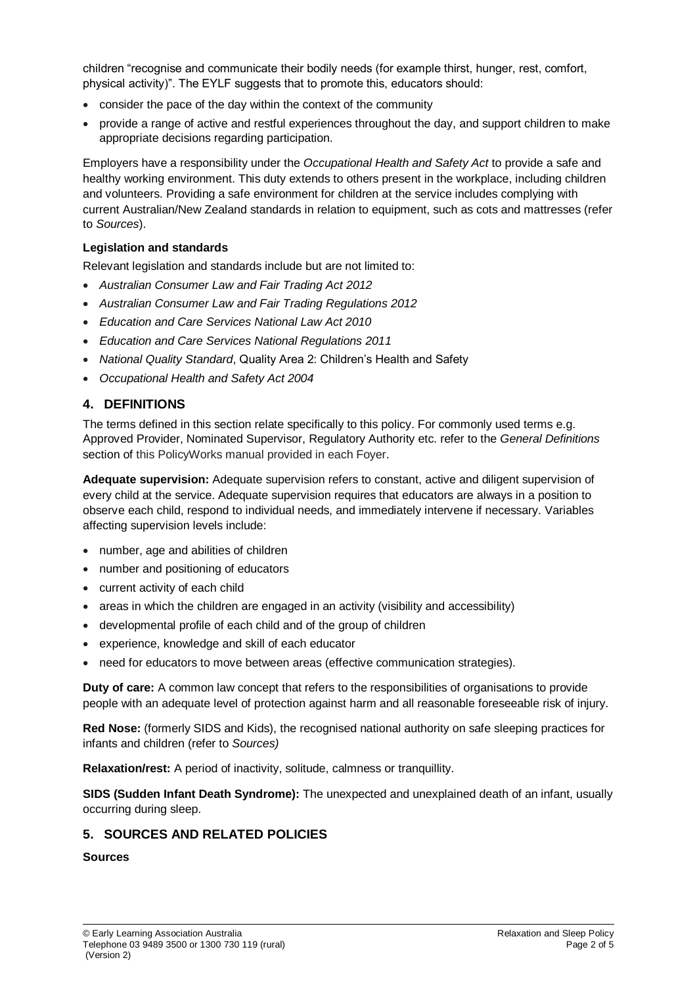children "recognise and communicate their bodily needs (for example thirst, hunger, rest, comfort, physical activity)". The EYLF suggests that to promote this, educators should:

- consider the pace of the day within the context of the community
- provide a range of active and restful experiences throughout the day, and support children to make appropriate decisions regarding participation.

Employers have a responsibility under the *Occupational Health and Safety Act* to provide a safe and healthy working environment. This duty extends to others present in the workplace, including children and volunteers. Providing a safe environment for children at the service includes complying with current Australian/New Zealand standards in relation to equipment, such as cots and mattresses (refer to *Sources*).

#### **Legislation and standards**

Relevant legislation and standards include but are not limited to:

- *Australian Consumer Law and Fair Trading Act 2012*
- *Australian Consumer Law and Fair Trading Regulations 2012*
- *Education and Care Services National Law Act 2010*
- *Education and Care Services National Regulations 2011*
- *National Quality Standard*, Quality Area 2: Children's Health and Safety
- *Occupational Health and Safety Act 2004*

### **4. DEFINITIONS**

The terms defined in this section relate specifically to this policy. For commonly used terms e.g. Approved Provider, Nominated Supervisor, Regulatory Authority etc. refer to the *General Definitions* section of this PolicyWorks manual provided in each Foyer.

**Adequate supervision:** Adequate supervision refers to constant, active and diligent supervision of every child at the service. Adequate supervision requires that educators are always in a position to observe each child, respond to individual needs, and immediately intervene if necessary. Variables affecting supervision levels include:

- number, age and abilities of children
- number and positioning of educators
- current activity of each child
- areas in which the children are engaged in an activity (visibility and accessibility)
- developmental profile of each child and of the group of children
- experience, knowledge and skill of each educator
- need for educators to move between areas (effective communication strategies).

**Duty of care:** A common law concept that refers to the responsibilities of organisations to provide people with an adequate level of protection against harm and all reasonable foreseeable risk of injury.

**Red Nose:** (formerly SIDS and Kids), the recognised national authority on safe sleeping practices for infants and children (refer to *Sources)*

**Relaxation/rest:** A period of inactivity, solitude, calmness or tranquillity.

**SIDS (Sudden Infant Death Syndrome):** The unexpected and unexplained death of an infant, usually occurring during sleep.

### **5. SOURCES AND RELATED POLICIES**

#### **Sources**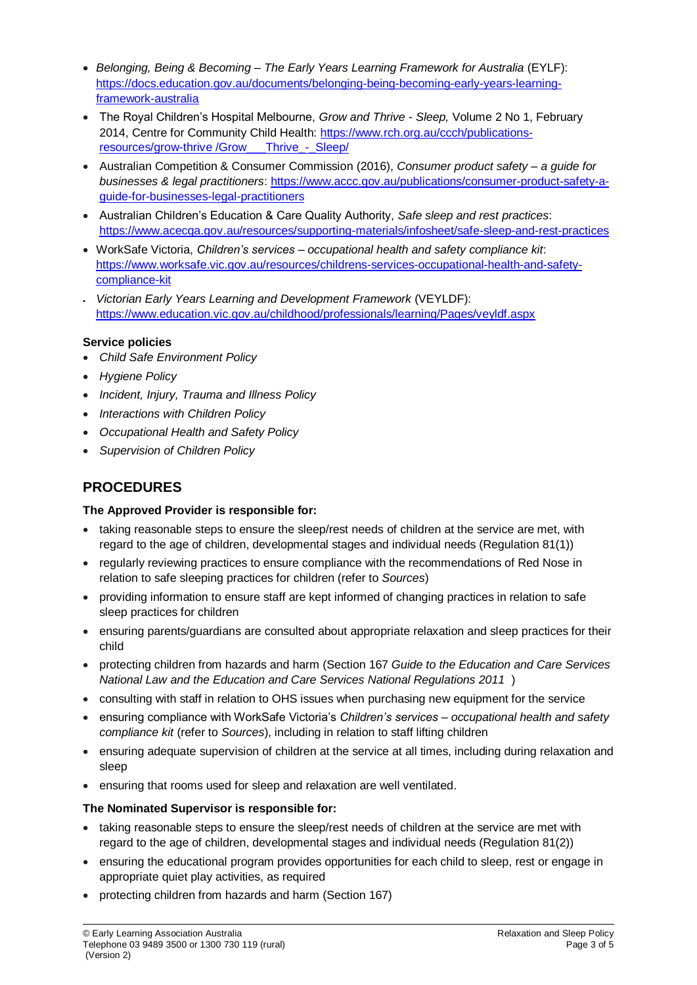- *Belonging, Being & Becoming – The Early Years Learning Framework for Australia* (EYLF): [https://docs.education.gov.au/documents/belonging-being-becoming-early-years-learning](https://docs.education.gov.au/documents/belonging-being-becoming-early-years-learning-framework-australia)[framework-australia](https://docs.education.gov.au/documents/belonging-being-becoming-early-years-learning-framework-australia)
- The Royal Children's Hospital Melbourne, *Grow and Thrive - Sleep,* Volume 2 No 1, February 2014, Centre for Community Child Health: [https://www.rch.org.au/ccch/publications](https://www.rch.org.au/ccch/publications-resources/grow-thrive%20/Grow___Thrive_-_Sleep/)resources/grow-thrive /Grow Thrive - Sleep/
- Australian Competition & Consumer Commission (2016), *Consumer product safety – a guide for businesses & legal practitioners*: [https://www.accc.gov.au/publications/consumer-product-safety-a](https://www.accc.gov.au/publications/consumer-product-safety-a-guide-for-businesses-legal-practitioners)[guide-for-businesses-legal-practitioners](https://www.accc.gov.au/publications/consumer-product-safety-a-guide-for-businesses-legal-practitioners)
- Australian Children's Education & Care Quality Authority, *Safe sleep and rest practices*: <https://www.acecqa.gov.au/resources/supporting-materials/infosheet/safe-sleep-and-rest-practices>
- WorkSafe Victoria, *Children's services – occupational health and safety compliance kit*: [https://www.worksafe.vic.gov.au/resources/childrens-services-occupational-health-and-safety](https://www.worksafe.vic.gov.au/resources/childrens-services-occupational-health-and-safety-compliance-kit)[compliance-kit](https://www.worksafe.vic.gov.au/resources/childrens-services-occupational-health-and-safety-compliance-kit)
- *Victorian Early Years Learning and Development Framework* (VEYLDF): <https://www.education.vic.gov.au/childhood/professionals/learning/Pages/veyldf.aspx>

### **Service policies**

- *Child Safe Environment Policy*
- *Hygiene Policy*
- *Incident, Injury, Trauma and Illness Policy*
- *Interactions with Children Policy*
- *Occupational Health and Safety Policy*
- *Supervision of Children Policy*

# **PROCEDURES**

### **The Approved Provider is responsible for:**

- taking reasonable steps to ensure the sleep/rest needs of children at the service are met, with regard to the age of children, developmental stages and individual needs (Regulation 81(1))
- regularly reviewing practices to ensure compliance with the recommendations of Red Nose in relation to safe sleeping practices for children (refer to *Sources*)
- providing information to ensure staff are kept informed of changing practices in relation to safe sleep practices for children
- ensuring parents/guardians are consulted about appropriate relaxation and sleep practices for their child
- protecting children from hazards and harm (Section 167 *Guide to the Education and Care Services National Law and the Education and Care Services National Regulations 2011* )
- consulting with staff in relation to OHS issues when purchasing new equipment for the service
- ensuring compliance with WorkSafe Victoria's *Children's services – occupational health and safety compliance kit* (refer to *Sources*), including in relation to staff lifting children
- ensuring adequate supervision of children at the service at all times, including during relaxation and sleep
- ensuring that rooms used for sleep and relaxation are well ventilated.

### **The Nominated Supervisor is responsible for:**

- taking reasonable steps to ensure the sleep/rest needs of children at the service are met with regard to the age of children, developmental stages and individual needs (Regulation 81(2))
- ensuring the educational program provides opportunities for each child to sleep, rest or engage in appropriate quiet play activities, as required
- protecting children from hazards and harm (Section 167)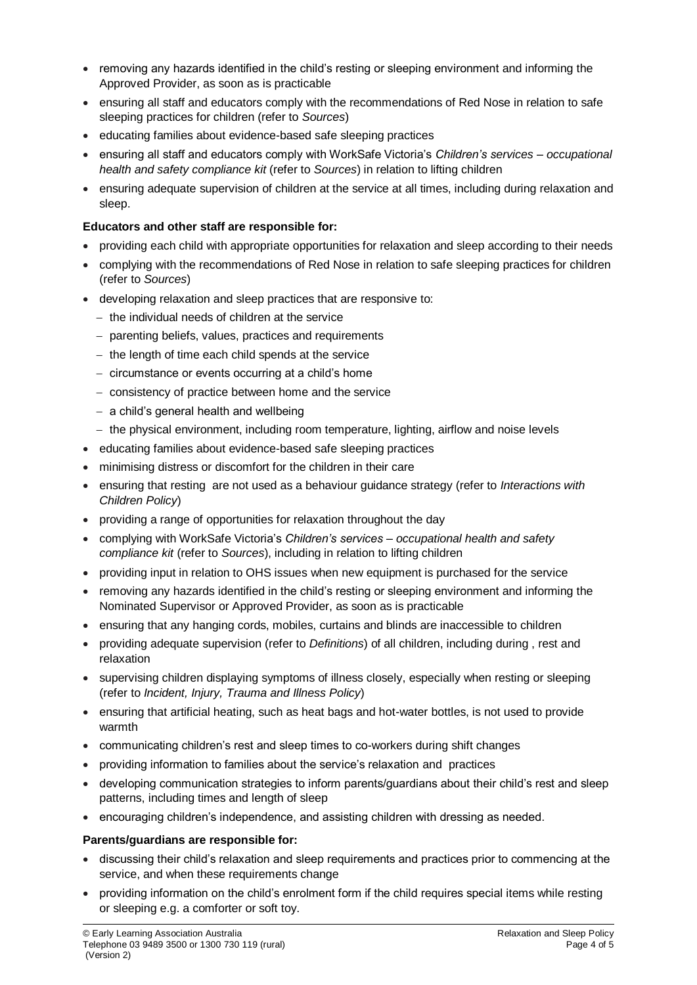- removing any hazards identified in the child's resting or sleeping environment and informing the Approved Provider, as soon as is practicable
- ensuring all staff and educators comply with the recommendations of Red Nose in relation to safe sleeping practices for children (refer to *Sources*)
- educating families about evidence-based safe sleeping practices
- ensuring all staff and educators comply with WorkSafe Victoria's *Children's services – occupational health and safety compliance kit* (refer to *Sources*) in relation to lifting children
- ensuring adequate supervision of children at the service at all times, including during relaxation and sleep.

#### **Educators and other staff are responsible for:**

- providing each child with appropriate opportunities for relaxation and sleep according to their needs
- complying with the recommendations of Red Nose in relation to safe sleeping practices for children (refer to *Sources*)
- developing relaxation and sleep practices that are responsive to:
	- $-$  the individual needs of children at the service
	- parenting beliefs, values, practices and requirements
	- $-$  the length of time each child spends at the service
	- circumstance or events occurring at a child's home
	- consistency of practice between home and the service
	- $-$  a child's general health and wellbeing
	- $-$  the physical environment, including room temperature, lighting, airflow and noise levels
- educating families about evidence-based safe sleeping practices
- minimising distress or discomfort for the children in their care
- ensuring that resting are not used as a behaviour guidance strategy (refer to *Interactions with Children Policy*)
- providing a range of opportunities for relaxation throughout the day
- complying with WorkSafe Victoria's *Children's services – occupational health and safety compliance kit* (refer to *Sources*), including in relation to lifting children
- providing input in relation to OHS issues when new equipment is purchased for the service
- removing any hazards identified in the child's resting or sleeping environment and informing the Nominated Supervisor or Approved Provider, as soon as is practicable
- ensuring that any hanging cords, mobiles, curtains and blinds are inaccessible to children
- providing adequate supervision (refer to *Definitions*) of all children, including during , rest and relaxation
- supervising children displaying symptoms of illness closely, especially when resting or sleeping (refer to *Incident, Injury, Trauma and Illness Policy*)
- ensuring that artificial heating, such as heat bags and hot-water bottles, is not used to provide warmth
- communicating children's rest and sleep times to co-workers during shift changes
- providing information to families about the service's relaxation and practices
- developing communication strategies to inform parents/guardians about their child's rest and sleep patterns, including times and length of sleep
- encouraging children's independence, and assisting children with dressing as needed.

#### **Parents/guardians are responsible for:**

- discussing their child's relaxation and sleep requirements and practices prior to commencing at the service, and when these requirements change
- providing information on the child's enrolment form if the child requires special items while resting or sleeping e.g. a comforter or soft toy.